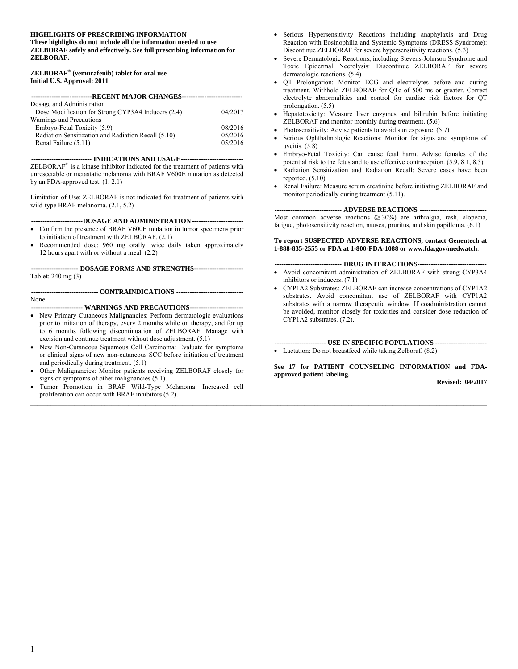#### **HIGHLIGHTS OF PRESCRIBING INFORMATION**

**These highlights do not include all the information needed to use ZELBORAF safely and effectively. See full prescribing information for ZELBORAF.** 

#### **ZELBORAF® (vemurafenib) tablet for oral use Initial U.S. Approval: 2011**

| ----------------------------RECENT MAJOR CHANGES---------------------------- |         |  |  |
|------------------------------------------------------------------------------|---------|--|--|
| Dosage and Administration                                                    |         |  |  |
| Dose Modification for Strong CYP3A4 Inducers (2.4)                           | 04/2017 |  |  |
| Warnings and Precautions                                                     |         |  |  |
| Embryo-Fetal Toxicity (5.9)                                                  | 08/2016 |  |  |
| Radiation Sensitization and Radiation Recall (5.10)                          | 05/2016 |  |  |
| Renal Failure (5.11)                                                         | 05/2016 |  |  |

 **--------------------------- INDICATIONS AND USAGE ----------------------------**  ZELBORAF**®** is a kinase inhibitor indicated for the treatment of patients with unresectable or metastatic melanoma with BRAF V600E mutation as detected by an FDA-approved test. (1, 2.1)

Limitation of Use: ZELBORAF is not indicated for treatment of patients with wild-type BRAF melanoma. (2.1, 5.2)

#### **----------------------- DOSAGE AND ADMINISTRATION -----------------------**

- Confirm the presence of BRAF V600E mutation in tumor specimens prior to initiation of treatment with ZELBORAF. (2.1)
- Recommended dose: 960 mg orally twice daily taken approximately 12 hours apart with or without a meal. (2.2)

 **--------------------- DOSAGE FORMS AND STRENGTHS ----------------------**  Tablet: 240 mg (3)

 **------------------------------ CONTRAINDICATIONS ------------------------------**  None

 **----------------------- WARNINGS AND PRECAUTIONS ------------------------** 

- New Primary Cutaneous Malignancies: Perform dermatologic evaluations prior to initiation of therapy, every 2 months while on therapy, and for up to 6 months following discontinuation of ZELBORAF. Manage with excision and continue treatment without dose adjustment. (5.1)
- New Non-Cutaneous Squamous Cell Carcinoma: Evaluate for symptoms or clinical signs of new non-cutaneous SCC before initiation of treatment and periodically during treatment. (5.1)
- Other Malignancies: Monitor patients receiving ZELBORAF closely for signs or symptoms of other malignancies (5.1).
- Tumor Promotion in BRAF Wild-Type Melanoma: Increased cell proliferation can occur with BRAF inhibitors (5.2).

 $\_$  , and the state of the state of the state of the state of the state of the state of the state of the state of the state of the state of the state of the state of the state of the state of the state of the state of the

- Serious Hypersensitivity Reactions including anaphylaxis and Drug Reaction with Eosinophilia and Systemic Symptoms (DRESS Syndrome): Discontinue ZELBORAF for severe hypersensitivity reactions. (5.3)
- Severe Dermatologic Reactions, including Stevens-Johnson Syndrome and Toxic Epidermal Necrolysis: Discontinue ZELBORAF for severe dermatologic reactions. (5.4)
- QT Prolongation: Monitor ECG and electrolytes before and during treatment. Withhold ZELBORAF for QTc of 500 ms or greater. Correct electrolyte abnormalities and control for cardiac risk factors for QT prolongation. (5.5)
- Hepatotoxicity: Measure liver enzymes and bilirubin before initiating ZELBORAF and monitor monthly during treatment. (5.6)
- Photosensitivity: Advise patients to avoid sun exposure. (5.7)
- Serious Ophthalmologic Reactions: Monitor for signs and symptoms of uveitis. (5.8)
- Embryo-Fetal Toxicity: Can cause fetal harm. Advise females of the potential risk to the fetus and to use effective contraception. (5.9, 8.1, 8.3)
- Radiation Sensitization and Radiation Recall: Severe cases have been reported. (5.10).
- Renal Failure: Measure serum creatinine before initiating ZELBORAF and monitor periodically during treatment (5.11).

 **------------------------------ ADVERSE REACTIONS ------------------------------**  Most common adverse reactions  $(≥ 30%)$  are arthralgia, rash, alopecia, fatigue, photosensitivity reaction, nausea, pruritus, and skin papilloma. (6.1)

#### **To report SUSPECTED ADVERSE REACTIONS, contact Genentech at 1-888-835-2555 or FDA at 1-800-FDA-1088 or www.fda.gov/medwatch**.

#### **------------------------------ DRUG INTERACTIONS-------------------------------**

- Avoid concomitant administration of ZELBORAF with strong CYP3A4 inhibitors or inducers. (7.1)
- CYP1A2 Substrates: ZELBORAF can increase concentrations of CYP1A2 substrates. Avoid concomitant use of ZELBORAF with CYP1A2 substrates with a narrow therapeutic window. If coadministration cannot be avoided, monitor closely for toxicities and consider dose reduction of CYP1A2 substrates. (7.2).

 **----------------------- USE IN SPECIFIC POPULATIONS -----------------------**  • Lactation: Do not breastfeed while taking Zelboraf. (8.2)

**See 17 for PATIENT COUNSELING INFORMATION and FDAapproved patient labeling.** 

**Revised: 04/2017**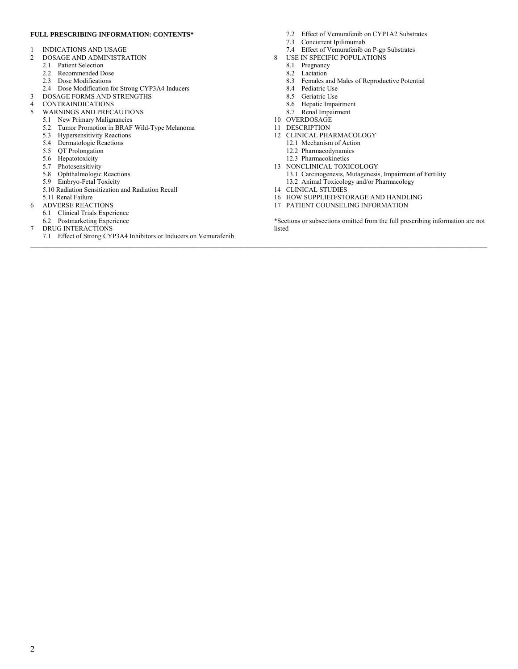#### **FULL PRESCRIBING INFORMATION: CONTENTS\***

- 1 INDICATIONS AND USAGE
- 2 DOSAGE AND ADMINISTRATION
	- 2.1 Patient Selection
	- 2.2 Recommended Dose
	- 2.3 Dose Modifications
	- 2.4 Dose Modification for Strong CYP3A4 Inducers
- 3 DOSAGE FORMS AND STRENGTHS
- 
- 4 CONTRAINDICATIONS<br>5 WARNINGS AND PREC. 5 WARNINGS AND PRECAUTIONS
- 5.1 New Primary Malignancies
	- 5.2 Tumor Promotion in BRAF Wild-Type Melanoma
	- 5.3 Hypersensitivity Reactions
	- 5.4 Dermatologic Reactions
	- 5.5 QT Prolongation
	- 5.6 Hepatotoxicity
	- 5.7 Photosensitivity
	- 5.8 Ophthalmologic Reactions
	- 5.9 Embryo-Fetal Toxicity
	- 5.10 Radiation Sensitization and Radiation Recall
- 5.11 Renal Failure
- 6 ADVERSE REACTIONS
	- 6.1 Clinical Trials Experience
- 6.2 Postmarketing Experience
- 7 DRUG INTERACTIONS
	- 7.1 Effect of Strong CYP3A4 Inhibitors or Inducers on Vemurafenib
- 7.2 Effect of Vemurafenib on CYP1A2 Substrates
- 7.3 Concurrent Ipilimumab
- 7.4 Effect of Vemurafenib on P-gp Substrates
- 8 USE IN SPECIFIC POPULATIONS
	- 8.1 Pregnancy
	- 8.2 Lactation
	- 8.3 Females and Males of Reproductive Potential
	- 8.4 Pediatric Use
	- 8.5 Geriatric Use
	- 8.6 Hepatic Impairment
	- 8.7 Renal Impairment
- 10 OVERDOSAGE
- 11 DESCRIPTION

 $\mathcal{L} = \{ \mathcal{L} = \{ \mathcal{L} = \{ \mathcal{L} = \{ \mathcal{L} = \{ \mathcal{L} = \{ \mathcal{L} = \{ \mathcal{L} = \{ \mathcal{L} = \{ \mathcal{L} = \{ \mathcal{L} = \{ \mathcal{L} = \{ \mathcal{L} = \{ \mathcal{L} = \{ \mathcal{L} = \{ \mathcal{L} = \{ \mathcal{L} = \{ \mathcal{L} = \{ \mathcal{L} = \{ \mathcal{L} = \{ \mathcal{L} = \{ \mathcal{L} = \{ \mathcal{L} = \{ \mathcal{L} = \{ \mathcal{$ 

- 12 CLINICAL PHARMACOLOGY
	- 12.1 Mechanism of Action
	- 12.2 Pharmacodynamics
	- 12.3 Pharmacokinetics
- 13 NONCLINICAL TOXICOLOGY 13.1 Carcinogenesis, Mutagenesis, Impairment of Fertility
	- 13.2 Animal Toxicology and/or Pharmacology
- 14 CLINICAL STUDIES
- 16 HOW SUPPLIED/STORAGE AND HANDLING
- 17 PATIENT COUNSELING INFORMATION

\*Sections or subsections omitted from the full prescribing information are not listed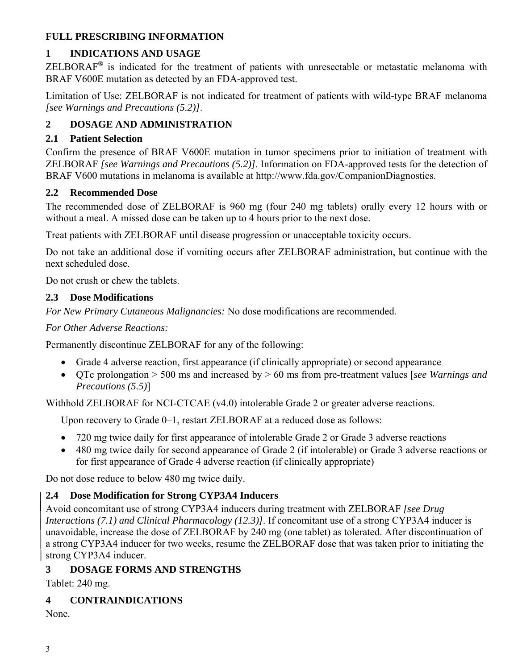### **FULL PRESCRIBING INFORMATION**

# **1 INDICATIONS AND USAGE**

ZELBORAF**®** is indicated for the treatment of patients with unresectable or metastatic melanoma with BRAF V600E mutation as detected by an FDA-approved test.

Limitation of Use: ZELBORAF is not indicated for treatment of patients with wild-type BRAF melanoma *[see Warnings and Precautions (5.2)]*.

# **2 DOSAGE AND ADMINISTRATION**

### **2.1 Patient Selection**

Confirm the presence of BRAF V600E mutation in tumor specimens prior to initiation of treatment with ZELBORAF *[see Warnings and Precautions (5.2)]*. Information on FDA-approved tests for the detection of BRAF V600 mutations in melanoma is available at http://www.fda.gov/CompanionDiagnostics.

### **2.2 Recommended Dose**

The recommended dose of ZELBORAF is 960 mg (four 240 mg tablets) orally every 12 hours with or without a meal. A missed dose can be taken up to 4 hours prior to the next dose.

Treat patients with ZELBORAF until disease progression or unacceptable toxicity occurs.

Do not take an additional dose if vomiting occurs after ZELBORAF administration, but continue with the next scheduled dose.

Do not crush or chew the tablets.

### **2.3 Dose Modifications**

*For New Primary Cutaneous Malignancies:* No dose modifications are recommended.

*For Other Adverse Reactions:* 

Permanently discontinue ZELBORAF for any of the following:

- Grade 4 adverse reaction, first appearance (if clinically appropriate) or second appearance
- QTc prolongation > 500 ms and increased by > 60 ms from pre-treatment values [*see Warnings and Precautions (5.5)*]

Withhold ZELBORAF for NCI-CTCAE (v4.0) intolerable Grade 2 or greater adverse reactions.

Upon recovery to Grade 0–1, restart ZELBORAF at a reduced dose as follows:

- 720 mg twice daily for first appearance of intolerable Grade 2 or Grade 3 adverse reactions
- 480 mg twice daily for second appearance of Grade 2 (if intolerable) or Grade 3 adverse reactions or for first appearance of Grade 4 adverse reaction (if clinically appropriate)

Do not dose reduce to below 480 mg twice daily.

# **2.4 Dose Modification for Strong CYP3A4 Inducers**

Avoid concomitant use of strong CYP3A4 inducers during treatment with ZELBORAF *[see Drug Interactions (7.1) and Clinical Pharmacology (12.3)]*. If concomitant use of a strong CYP3A4 inducer is unavoidable, increase the dose of ZELBORAF by 240 mg (one tablet) as tolerated. After discontinuation of a strong CYP3A4 inducer for two weeks, resume the ZELBORAF dose that was taken prior to initiating the strong CYP3A4 inducer.

# **3 DOSAGE FORMS AND STRENGTHS**

Tablet: 240 mg.

# **4 CONTRAINDICATIONS**

None.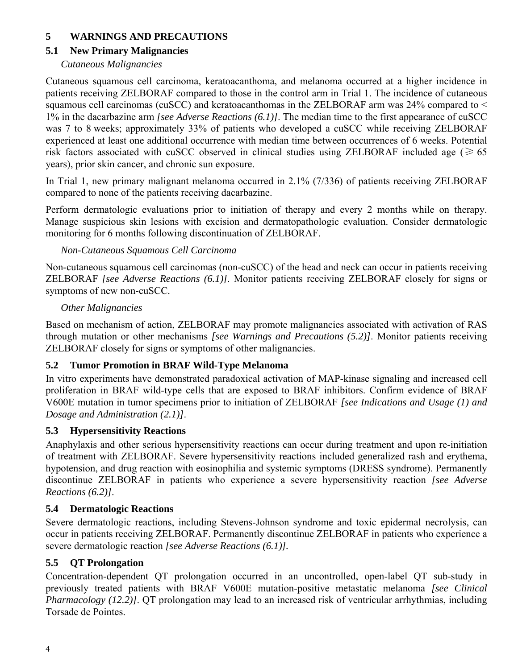### **5 WARNINGS AND PRECAUTIONS**

### **5.1 New Primary Malignancies**

### *Cutaneous Malignancies*

Cutaneous squamous cell carcinoma, keratoacanthoma, and melanoma occurred at a higher incidence in patients receiving ZELBORAF compared to those in the control arm in Trial 1. The incidence of cutaneous squamous cell carcinomas (cuSCC) and keratoacanthomas in the ZELBORAF arm was  $24\%$  compared to  $\leq$ 1% in the dacarbazine arm *[see Adverse Reactions (6.1)]*. The median time to the first appearance of cuSCC was 7 to 8 weeks; approximately 33% of patients who developed a cuSCC while receiving ZELBORAF experienced at least one additional occurrence with median time between occurrences of 6 weeks. Potential risk factors associated with cuSCC observed in clinical studies using ZELBORAF included age ( $\geq 65$ ) years), prior skin cancer, and chronic sun exposure.

In Trial 1, new primary malignant melanoma occurred in 2.1% (7/336) of patients receiving ZELBORAF compared to none of the patients receiving dacarbazine.

Perform dermatologic evaluations prior to initiation of therapy and every 2 months while on therapy. Manage suspicious skin lesions with excision and dermatopathologic evaluation. Consider dermatologic monitoring for 6 months following discontinuation of ZELBORAF.

### *Non-Cutaneous Squamous Cell Carcinoma*

Non-cutaneous squamous cell carcinomas (non-cuSCC) of the head and neck can occur in patients receiving ZELBORAF *[see Adverse Reactions (6.1)]*. Monitor patients receiving ZELBORAF closely for signs or symptoms of new non-cuSCC.

### *Other Malignancies*

Based on mechanism of action, ZELBORAF may promote malignancies associated with activation of RAS through mutation or other mechanisms *[see Warnings and Precautions (5.2)]*. Monitor patients receiving ZELBORAF closely for signs or symptoms of other malignancies.

## **5.2 Tumor Promotion in BRAF Wild-Type Melanoma**

In vitro experiments have demonstrated paradoxical activation of MAP-kinase signaling and increased cell proliferation in BRAF wild-type cells that are exposed to BRAF inhibitors. Confirm evidence of BRAF V600E mutation in tumor specimens prior to initiation of ZELBORAF *[see Indications and Usage (1) and Dosage and Administration (2.1)]*.

## **5.3 Hypersensitivity Reactions**

Anaphylaxis and other serious hypersensitivity reactions can occur during treatment and upon re-initiation of treatment with ZELBORAF. Severe hypersensitivity reactions included generalized rash and erythema, hypotension, and drug reaction with eosinophilia and systemic symptoms (DRESS syndrome). Permanently discontinue ZELBORAF in patients who experience a severe hypersensitivity reaction *[see Adverse Reactions (6.2)]*.

## **5.4 Dermatologic Reactions**

Severe dermatologic reactions, including Stevens-Johnson syndrome and toxic epidermal necrolysis, can occur in patients receiving ZELBORAF. Permanently discontinue ZELBORAF in patients who experience a severe dermatologic reaction *[see Adverse Reactions (6.1)].*

## **5.5 QT Prolongation**

Concentration-dependent QT prolongation occurred in an uncontrolled, open-label QT sub-study in previously treated patients with BRAF V600E mutation-positive metastatic melanoma *[see Clinical Pharmacology (12.2)]*. OT prolongation may lead to an increased risk of ventricular arrhythmias, including Torsade de Pointes.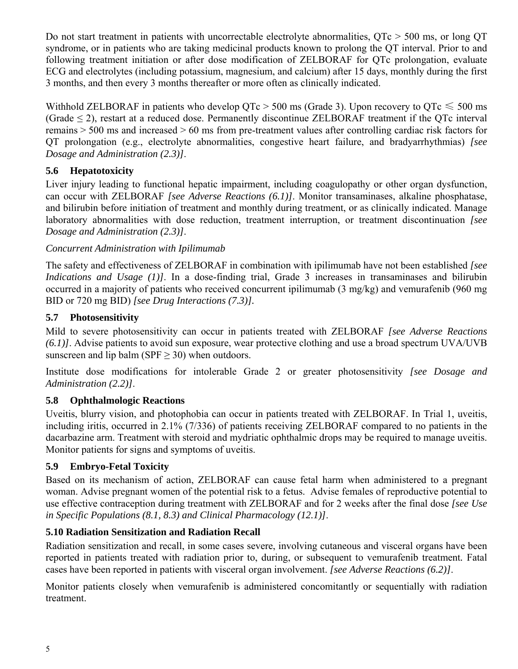Do not start treatment in patients with uncorrectable electrolyte abnormalities, QTc > 500 ms, or long QT syndrome, or in patients who are taking medicinal products known to prolong the QT interval. Prior to and following treatment initiation or after dose modification of ZELBORAF for OTc prolongation, evaluate ECG and electrolytes (including potassium, magnesium, and calcium) after 15 days, monthly during the first 3 months, and then every 3 months thereafter or more often as clinically indicated.

Withhold ZELBORAF in patients who develop  $QTc > 500$  ms (Grade 3). Upon recovery to  $QTc \le 500$  ms (Grade  $\leq$  2), restart at a reduced dose. Permanently discontinue ZELBORAF treatment if the QTc interval remains > 500 ms and increased > 60 ms from pre-treatment values after controlling cardiac risk factors for QT prolongation (e.g., electrolyte abnormalities, congestive heart failure, and bradyarrhythmias) *[see Dosage and Administration (2.3)]*.

### **5.6 Hepatotoxicity**

Liver injury leading to functional hepatic impairment, including coagulopathy or other organ dysfunction, can occur with ZELBORAF *[see Adverse Reactions (6.1)]*. Monitor transaminases, alkaline phosphatase, and bilirubin before initiation of treatment and monthly during treatment, or as clinically indicated. Manage laboratory abnormalities with dose reduction, treatment interruption, or treatment discontinuation *[see Dosage and Administration (2.3)]*.

### *Concurrent Administration with Ipilimumab*

The safety and effectiveness of ZELBORAF in combination with ipilimumab have not been established *[see Indications and Usage (1)]*. In a dose-finding trial, Grade 3 increases in transaminases and bilirubin occurred in a majority of patients who received concurrent ipilimumab (3 mg/kg) and vemurafenib (960 mg BID or 720 mg BID) *[see Drug Interactions (7.3)].*

### **5.7 Photosensitivity**

Mild to severe photosensitivity can occur in patients treated with ZELBORAF *[see Adverse Reactions (6.1)]*. Advise patients to avoid sun exposure, wear protective clothing and use a broad spectrum UVA/UVB sunscreen and lip balm ( $SPF > 30$ ) when outdoors.

Institute dose modifications for intolerable Grade 2 or greater photosensitivity *[see Dosage and Administration (2.2)]*.

## **5.8 Ophthalmologic Reactions**

Uveitis, blurry vision, and photophobia can occur in patients treated with ZELBORAF. In Trial 1, uveitis, including iritis, occurred in 2.1% (7/336) of patients receiving ZELBORAF compared to no patients in the dacarbazine arm. Treatment with steroid and mydriatic ophthalmic drops may be required to manage uveitis. Monitor patients for signs and symptoms of uveitis.

### **5.9 Embryo-Fetal Toxicity**

Based on its mechanism of action, ZELBORAF can cause fetal harm when administered to a pregnant woman. Advise pregnant women of the potential risk to a fetus. Advise females of reproductive potential to use effective contraception during treatment with ZELBORAF and for 2 weeks after the final dose *[see Use in Specific Populations (8.1, 8.3) and Clinical Pharmacology (12.1)]*.

### **5.10 Radiation Sensitization and Radiation Recall**

Radiation sensitization and recall, in some cases severe, involving cutaneous and visceral organs have been reported in patients treated with radiation prior to, during, or subsequent to vemurafenib treatment*.* Fatal cases have been reported in patients with visceral organ involvement. *[see Adverse Reactions (6.2)]*.

Monitor patients closely when vemurafenib is administered concomitantly or sequentially with radiation treatment.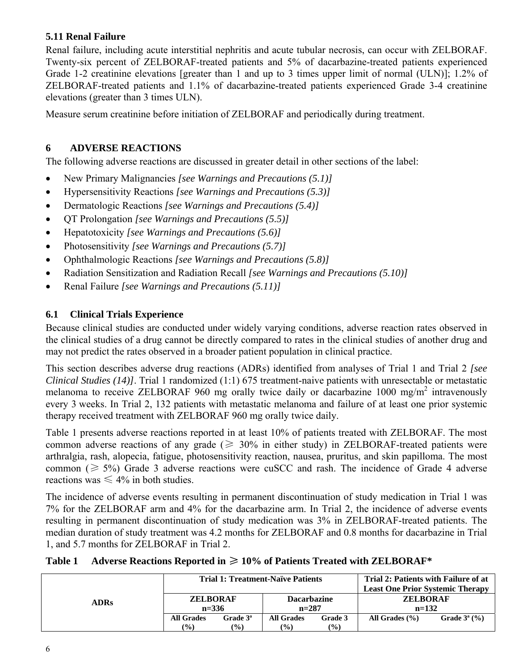### **5.11 Renal Failure**

Renal failure, including acute interstitial nephritis and acute tubular necrosis, can occur with ZELBORAF. Twenty-six percent of ZELBORAF-treated patients and 5% of dacarbazine-treated patients experienced Grade 1-2 creatinine elevations [greater than 1 and up to 3 times upper limit of normal (ULN)]; 1.2% of ZELBORAF-treated patients and 1.1% of dacarbazine-treated patients experienced Grade 3-4 creatinine elevations (greater than 3 times ULN).

Measure serum creatinine before initiation of ZELBORAF and periodically during treatment.

### **6 ADVERSE REACTIONS**

The following adverse reactions are discussed in greater detail in other sections of the label:

- New Primary Malignancies *[see Warnings and Precautions (5.1)]*
- Hypersensitivity Reactions *[see Warnings and Precautions (5.3)]*
- Dermatologic Reactions *[see Warnings and Precautions (5.4)]*
- QT Prolongation *[see Warnings and Precautions (5.5)]*
- Hepatotoxicity *[see Warnings and Precautions (5.6)]*
- Photosensitivity *[see Warnings and Precautions (5.7)]*
- Ophthalmologic Reactions *[see Warnings and Precautions (5.8)]*
- Radiation Sensitization and Radiation Recall *[see Warnings and Precautions (5.10)]*
- Renal Failure *[see Warnings and Precautions (5.11)]*

### **6.1 Clinical Trials Experience**

Because clinical studies are conducted under widely varying conditions, adverse reaction rates observed in the clinical studies of a drug cannot be directly compared to rates in the clinical studies of another drug and may not predict the rates observed in a broader patient population in clinical practice.

This section describes adverse drug reactions (ADRs) identified from analyses of Trial 1 and Trial 2 *[see Clinical Studies (14)]*. Trial 1 randomized (1:1) 675 treatment-naive patients with unresectable or metastatic melanoma to receive ZELBORAF 960 mg orally twice daily or dacarbazine 1000 mg/m<sup>2</sup> intravenously every 3 weeks. In Trial 2, 132 patients with metastatic melanoma and failure of at least one prior systemic therapy received treatment with ZELBORAF 960 mg orally twice daily.

Table 1 presents adverse reactions reported in at least 10% of patients treated with ZELBORAF. The most common adverse reactions of any grade ( $\geq 30\%$  in either study) in ZELBORAF-treated patients were arthralgia, rash, alopecia, fatigue, photosensitivity reaction, nausea, pruritus, and skin papilloma. The most common ( $\geq 5\%$ ) Grade 3 adverse reactions were cuSCC and rash. The incidence of Grade 4 adverse reactions was  $\leq 4\%$  in both studies.

The incidence of adverse events resulting in permanent discontinuation of study medication in Trial 1 was 7% for the ZELBORAF arm and 4% for the dacarbazine arm. In Trial 2, the incidence of adverse events resulting in permanent discontinuation of study medication was 3% in ZELBORAF-treated patients. The median duration of study treatment was 4.2 months for ZELBORAF and 0.8 months for dacarbazine in Trial 1, and 5.7 months for ZELBORAF in Trial 2.

|             | <b>Trial 1: Treatment-Naïve Patients</b> |                       |                                    |                                       | Trial 2: Patients with Failure of at<br><b>Least One Prior Systemic Therapy</b> |                 |
|-------------|------------------------------------------|-----------------------|------------------------------------|---------------------------------------|---------------------------------------------------------------------------------|-----------------|
| <b>ADRs</b> | <b>ZELBORAF</b><br>$n = 336$             |                       | <b>Dacarbazine</b><br>$n=287$      |                                       | <b>ZELBORAF</b><br>$n=132$                                                      |                 |
|             | <b>All Grades</b><br>$\frac{6}{6}$       | Grade $3^a$<br>$(\%)$ | <b>All Grades</b><br>$\frac{9}{0}$ | Grade 3<br>$\left(\frac{0}{0}\right)$ | All Grades $(\% )$                                                              | Grade $3^a$ (%) |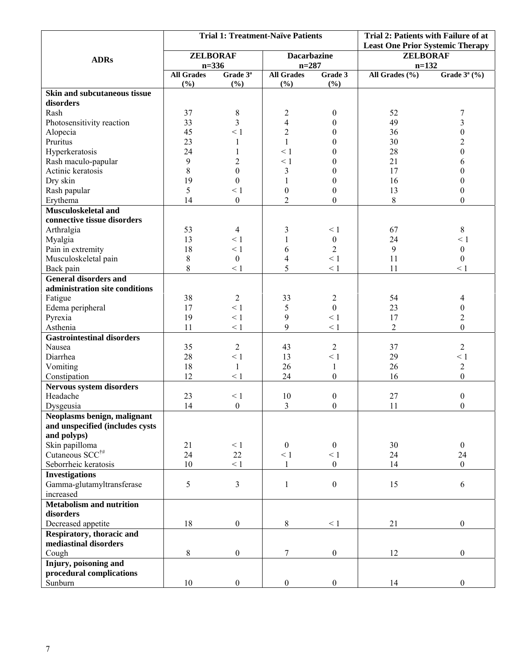|                                   | <b>Trial 1: Treatment-Naïve Patients</b> |                             |                          | Trial 2: Patients with Failure of at |                                         |                  |
|-----------------------------------|------------------------------------------|-----------------------------|--------------------------|--------------------------------------|-----------------------------------------|------------------|
|                                   |                                          |                             |                          |                                      | <b>Least One Prior Systemic Therapy</b> |                  |
| <b>ADRs</b>                       | <b>ZELBORAF</b>                          |                             | <b>Dacarbazine</b>       |                                      | <b>ZELBORAF</b>                         |                  |
|                                   | $n = 336$                                |                             | $n = 287$                |                                      | $n=132$                                 |                  |
|                                   | <b>All Grades</b><br>(%)                 | Grade 3 <sup>ª</sup><br>(%) | <b>All Grades</b><br>(%) | Grade 3<br>(%)                       | All Grades (%)                          | Grade $3^a$ (%)  |
| Skin and subcutaneous tissue      |                                          |                             |                          |                                      |                                         |                  |
| disorders                         |                                          |                             |                          |                                      |                                         |                  |
| Rash                              | 37                                       | 8                           | $\overline{c}$           | $\mathbf{0}$                         | 52                                      | 7                |
| Photosensitivity reaction         | 33                                       | 3                           | 4                        | $\theta$                             | 49                                      | 3                |
| Alopecia                          | 45                                       | $\leq 1$                    | $\overline{c}$           | $\Omega$                             | 36                                      | $\theta$         |
| Pruritus                          | 23                                       | 1                           | $\mathbf{1}$             | $\Omega$                             | 30                                      | $\overline{2}$   |
| Hyperkeratosis                    | 24                                       | 1                           | $\leq 1$                 | $\theta$                             | 28                                      | $\boldsymbol{0}$ |
| Rash maculo-papular               | 9                                        | 2                           | $\leq 1$                 | $\theta$                             | 21                                      | 6                |
| Actinic keratosis                 | 8                                        | $\boldsymbol{0}$            | 3                        | $\theta$                             | 17                                      | $\boldsymbol{0}$ |
| Dry skin                          | 19                                       | $\boldsymbol{0}$            | $\mathbf{1}$             | $\overline{0}$                       | 16                                      | $\boldsymbol{0}$ |
| Rash papular                      | 5                                        | $\leq 1$                    | $\boldsymbol{0}$         | $\theta$                             | 13                                      | $\mathbf{0}$     |
| Erythema                          | 14                                       | $\boldsymbol{0}$            | $\overline{2}$           | $\boldsymbol{0}$                     | 8                                       | $\theta$         |
| Musculoskeletal and               |                                          |                             |                          |                                      |                                         |                  |
| connective tissue disorders       |                                          |                             |                          |                                      |                                         |                  |
| Arthralgia                        | 53                                       | 4                           | 3                        | $\leq 1$                             | 67                                      | 8                |
| Myalgia                           | 13                                       | < 1                         |                          | $\boldsymbol{0}$                     | 24                                      | $\leq 1$         |
| Pain in extremity                 | 18                                       | $\leq 1$                    | 6                        | $\overline{2}$                       | 9                                       | $\boldsymbol{0}$ |
| Musculoskeletal pain              | $8\,$                                    | $\boldsymbol{0}$            | 4                        | $\leq 1$                             | 11                                      | $\boldsymbol{0}$ |
| Back pain                         | 8                                        | $\leq 1$                    | 5                        | $\leq 1$                             | 11                                      | $\leq 1$         |
| <b>General disorders and</b>      |                                          |                             |                          |                                      |                                         |                  |
| administration site conditions    |                                          |                             |                          |                                      |                                         |                  |
| Fatigue                           | 38                                       | $\overline{2}$              | 33                       | $\overline{c}$                       | 54                                      | 4                |
| Edema peripheral                  | 17                                       | $\leq 1$                    | 5                        | $\boldsymbol{0}$                     | 23                                      | $\boldsymbol{0}$ |
| Pyrexia                           | 19                                       | $\leq 1$                    | 9                        | $\leq 1$                             | 17                                      | $\overline{c}$   |
| Asthenia                          | 11                                       | $\leq 1$                    | 9                        | $\leq 1$                             | $\overline{2}$                          | $\Omega$         |
| <b>Gastrointestinal disorders</b> |                                          |                             |                          |                                      |                                         |                  |
| Nausea                            | 35                                       | $\overline{2}$              | 43                       | $\overline{2}$                       | 37                                      | $\overline{2}$   |
| Diarrhea                          | 28                                       | $\leq 1$                    | 13                       | $\leq 1$                             | 29                                      | $\leq 1$         |
| Vomiting                          | 18                                       | $\mathbf{1}$                | 26                       | $\mathbf{1}$                         | 26                                      | $\overline{c}$   |
| Constipation                      | 12                                       | $\leq 1$                    | 24                       | $\boldsymbol{0}$                     | 16                                      | $\Omega$         |
| Nervous system disorders          |                                          |                             |                          |                                      |                                         |                  |
| Headache                          | 23                                       | $\leq 1$                    | 10                       | $\boldsymbol{0}$                     | 27                                      | $\boldsymbol{0}$ |
| Dysgeusia                         | 14                                       | $\boldsymbol{0}$            | $\mathfrak{Z}$           | $\Omega$                             | 11                                      | $\mathbf{0}$     |
| Neoplasms benign, malignant       |                                          |                             |                          |                                      |                                         |                  |
| and unspecified (includes cysts   |                                          |                             |                          |                                      |                                         |                  |
| and polyps)                       |                                          |                             |                          |                                      |                                         |                  |
| Skin papilloma                    | 21                                       | $\leq 1$                    | $\boldsymbol{0}$         | $\boldsymbol{0}$                     | 30                                      | $\boldsymbol{0}$ |
| Cutaneous SCC <sup>†#</sup>       | 24                                       | $22\,$                      | $\leq 1$                 | $\leq 1$                             | 24                                      | 24               |
| Seborrheic keratosis              | 10                                       | $\leq 1$                    | $\mathbf{1}$             | $\boldsymbol{0}$                     | 14                                      | $\overline{0}$   |
| <b>Investigations</b>             |                                          |                             |                          |                                      |                                         |                  |
| Gamma-glutamyltransferase         | 5                                        | $\mathfrak{Z}$              | $\mathbf{1}$             | $\boldsymbol{0}$                     | 15                                      | 6                |
| increased                         |                                          |                             |                          |                                      |                                         |                  |
| <b>Metabolism and nutrition</b>   |                                          |                             |                          |                                      |                                         |                  |
| disorders                         |                                          |                             |                          |                                      |                                         |                  |
| Decreased appetite                | 18                                       | $\boldsymbol{0}$            | $8\,$                    | $\leq 1$                             | 21                                      | $\boldsymbol{0}$ |
| Respiratory, thoracic and         |                                          |                             |                          |                                      |                                         |                  |
| mediastinal disorders             |                                          |                             |                          |                                      |                                         |                  |
| Cough                             | 8                                        | $\boldsymbol{0}$            | 7                        | $\boldsymbol{0}$                     | 12                                      | $\mathbf{0}$     |
| Injury, poisoning and             |                                          |                             |                          |                                      |                                         |                  |
| procedural complications          |                                          |                             |                          |                                      |                                         |                  |
| Sunburn                           | 10                                       | $\boldsymbol{0}$            | $\boldsymbol{0}$         | $\boldsymbol{0}$                     | 14                                      | $\boldsymbol{0}$ |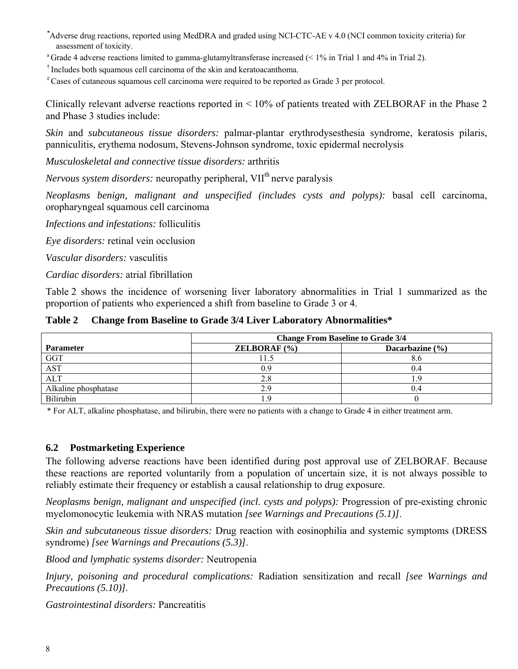- *\** Adverse drug reactions, reported using MedDRA and graded using NCI-CTC-AE v 4.0 (NCI common toxicity criteria) for assessment of toxicity.<br><sup>a</sup> Grade 4 adverse reactions limited to gamma-glutamyltransferase increased (< 1% in Trial 1 and 4% in Trial 2).
- 
- 
- $\dagger$  Includes both squamous cell carcinoma of the skin and keratoacanthoma.<br> $\dagger$  Cases of cutaneous squamous cell carcinoma were required to be reported as Grade 3 per protocol.

Clinically relevant adverse reactions reported in  $\leq 10\%$  of patients treated with ZELBORAF in the Phase 2 and Phase 3 studies include:

*Skin* and *subcutaneous tissue disorders:* palmar-plantar erythrodysesthesia syndrome, keratosis pilaris, panniculitis, erythema nodosum, Stevens-Johnson syndrome, toxic epidermal necrolysis

*Musculoskeletal and connective tissue disorders:* arthritis

*Nervous system disorders:* neuropathy peripheral, VII<sup>th</sup> nerve paralysis

*Neoplasms benign, malignant and unspecified (includes cysts and polyps):* basal cell carcinoma, oropharyngeal squamous cell carcinoma

*Infections and infestations:* folliculitis

*Eye disorders:* retinal vein occlusion

*Vascular disorders:* vasculitis

*Cardiac disorders:* atrial fibrillation

Table 2 shows the incidence of worsening liver laboratory abnormalities in Trial 1 summarized as the proportion of patients who experienced a shift from baseline to Grade 3 or 4.

**Table 2 Change from Baseline to Grade 3/4 Liver Laboratory Abnormalities\*** 

|                      | <b>Change From Baseline to Grade 3/4</b> |                     |  |  |
|----------------------|------------------------------------------|---------------------|--|--|
| <b>Parameter</b>     | <b>ZELBORAF</b> $(\% )$                  | Dacarbazine $(\% )$ |  |  |
| <b>GGT</b>           |                                          |                     |  |  |
| <b>AST</b>           | 0.9                                      | 0.4                 |  |  |
| <b>ALT</b>           |                                          |                     |  |  |
| Alkaline phosphatase |                                          | 0.4                 |  |  |
| <b>Bilirubin</b>     |                                          |                     |  |  |

\* For ALT, alkaline phosphatase, and bilirubin, there were no patients with a change to Grade 4 in either treatment arm.

#### **6.2 Postmarketing Experience**

The following adverse reactions have been identified during post approval use of ZELBORAF. Because these reactions are reported voluntarily from a population of uncertain size, it is not always possible to reliably estimate their frequency or establish a causal relationship to drug exposure.

*Neoplasms benign, malignant and unspecified (incl. cysts and polyps):* Progression of pre-existing chronic myelomonocytic leukemia with NRAS mutation *[see Warnings and Precautions (5.1)]*.

*Skin and subcutaneous tissue disorders:* Drug reaction with eosinophilia and systemic symptoms (DRESS syndrome) *[see Warnings and Precautions (5.3)]*.

*Blood and lymphatic systems disorder:* Neutropenia

*Injury, poisoning and procedural complications:* Radiation sensitization and recall *[see Warnings and Precautions (5.10)].* 

*Gastrointestinal disorders:* Pancreatitis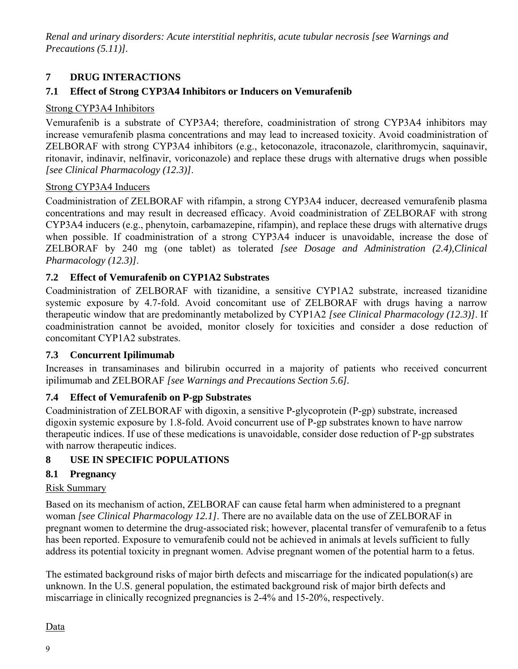*Renal and urinary disorders: Acute interstitial nephritis, acute tubular necrosis [see Warnings and Precautions (5.11)].* 

### **7 DRUG INTERACTIONS**

### **7.1 Effect of Strong CYP3A4 Inhibitors or Inducers on Vemurafenib**

#### Strong CYP3A4 Inhibitors

Vemurafenib is a substrate of CYP3A4; therefore, coadministration of strong CYP3A4 inhibitors may increase vemurafenib plasma concentrations and may lead to increased toxicity. Avoid coadministration of ZELBORAF with strong CYP3A4 inhibitors (e.g., ketoconazole, itraconazole, clarithromycin, saquinavir, ritonavir, indinavir, nelfinavir, voriconazole) and replace these drugs with alternative drugs when possible *[see Clinical Pharmacology (12.3)]*.

#### Strong CYP3A4 Inducers

Coadministration of ZELBORAF with rifampin, a strong CYP3A4 inducer, decreased vemurafenib plasma concentrations and may result in decreased efficacy. Avoid coadministration of ZELBORAF with strong CYP3A4 inducers (e.g., phenytoin, carbamazepine, rifampin), and replace these drugs with alternative drugs when possible. If coadministration of a strong CYP3A4 inducer is unavoidable, increase the dose of ZELBORAF by 240 mg (one tablet) as tolerated *[see Dosage and Administration (2.4),Clinical Pharmacology (12.3)]*.

### **7.2 Effect of Vemurafenib on CYP1A2 Substrates**

Coadministration of ZELBORAF with tizanidine, a sensitive CYP1A2 substrate, increased tizanidine systemic exposure by 4.7-fold. Avoid concomitant use of ZELBORAF with drugs having a narrow therapeutic window that are predominantly metabolized by CYP1A2 *[see Clinical Pharmacology (12.3)]*. If coadministration cannot be avoided, monitor closely for toxicities and consider a dose reduction of concomitant CYP1A2 substrates.

### **7.3 Concurrent Ipilimumab**

Increases in transaminases and bilirubin occurred in a majority of patients who received concurrent ipilimumab and ZELBORAF *[see Warnings and Precautions Section 5.6].* 

### **7.4 Effect of Vemurafenib on P-gp Substrates**

Coadministration of ZELBORAF with digoxin, a sensitive P-glycoprotein (P-gp) substrate, increased digoxin systemic exposure by 1.8-fold. Avoid concurrent use of P-gp substrates known to have narrow therapeutic indices. If use of these medications is unavoidable, consider dose reduction of P-gp substrates with narrow therapeutic indices.

### **8 USE IN SPECIFIC POPULATIONS**

### **8.1 Pregnancy**

### Risk Summary

Based on its mechanism of action, ZELBORAF can cause fetal harm when administered to a pregnant woman *[see Clinical Pharmacology 12.1]*. There are no available data on the use of ZELBORAF in pregnant women to determine the drug-associated risk; however, placental transfer of vemurafenib to a fetus has been reported. Exposure to vemurafenib could not be achieved in animals at levels sufficient to fully address its potential toxicity in pregnant women. Advise pregnant women of the potential harm to a fetus.

The estimated background risks of major birth defects and miscarriage for the indicated population(s) are unknown. In the U.S. general population, the estimated background risk of major birth defects and miscarriage in clinically recognized pregnancies is 2-4% and 15-20%, respectively.

#### Data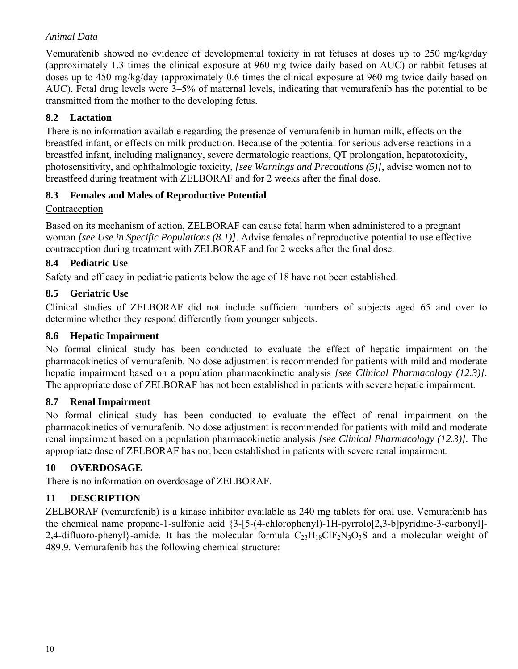### *Animal Data*

Vemurafenib showed no evidence of developmental toxicity in rat fetuses at doses up to 250 mg/kg/day (approximately 1.3 times the clinical exposure at 960 mg twice daily based on AUC) or rabbit fetuses at doses up to 450 mg/kg/day (approximately 0.6 times the clinical exposure at 960 mg twice daily based on AUC). Fetal drug levels were 3–5% of maternal levels, indicating that vemurafenib has the potential to be transmitted from the mother to the developing fetus.

### **8.2 Lactation**

There is no information available regarding the presence of vemurafenib in human milk, effects on the breastfed infant, or effects on milk production. Because of the potential for serious adverse reactions in a breastfed infant, including malignancy, severe dermatologic reactions, QT prolongation, hepatotoxicity, photosensitivity, and ophthalmologic toxicity, *[see Warnings and Precautions (5)]*, advise women not to breastfeed during treatment with ZELBORAF and for 2 weeks after the final dose.

### **8.3 Females and Males of Reproductive Potential**

### Contraception

Based on its mechanism of action, ZELBORAF can cause fetal harm when administered to a pregnant woman *[see Use in Specific Populations (8.1)]*. Advise females of reproductive potential to use effective contraception during treatment with ZELBORAF and for 2 weeks after the final dose.

### **8.4 Pediatric Use**

Safety and efficacy in pediatric patients below the age of 18 have not been established.

### **8.5 Geriatric Use**

Clinical studies of ZELBORAF did not include sufficient numbers of subjects aged 65 and over to determine whether they respond differently from younger subjects.

### **8.6 Hepatic Impairment**

No formal clinical study has been conducted to evaluate the effect of hepatic impairment on the pharmacokinetics of vemurafenib. No dose adjustment is recommended for patients with mild and moderate hepatic impairment based on a population pharmacokinetic analysis *[see Clinical Pharmacology (12.3)].* The appropriate dose of ZELBORAF has not been established in patients with severe hepatic impairment.

### **8.7 Renal Impairment**

No formal clinical study has been conducted to evaluate the effect of renal impairment on the pharmacokinetics of vemurafenib. No dose adjustment is recommended for patients with mild and moderate renal impairment based on a population pharmacokinetic analysis *[see Clinical Pharmacology (12.3)].* The appropriate dose of ZELBORAF has not been established in patients with severe renal impairment.

### **10 OVERDOSAGE**

There is no information on overdosage of ZELBORAF.

### **11 DESCRIPTION**

ZELBORAF (vemurafenib) is a kinase inhibitor available as 240 mg tablets for oral use. Vemurafenib has the chemical name propane-1-sulfonic acid {3-[5-(4-chlorophenyl)-1H-pyrrolo[2,3-b]pyridine-3-carbonyl]- 2,4-difluoro-phenyl}-amide. It has the molecular formula  $C_{23}H_{18}CIF_2N_3O_3S$  and a molecular weight of 489.9. Vemurafenib has the following chemical structure: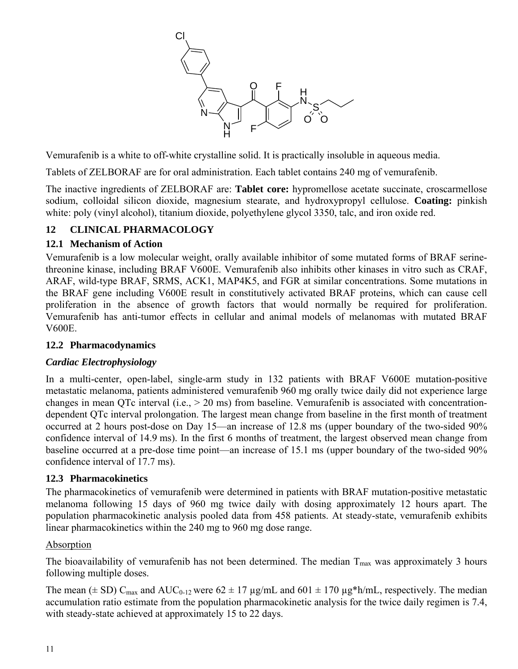

Vemurafenib is a white to off-white crystalline solid. It is practically insoluble in aqueous media.

Tablets of ZELBORAF are for oral administration. Each tablet contains 240 mg of vemurafenib.

The inactive ingredients of ZELBORAF are: **Tablet core:** hypromellose acetate succinate, croscarmellose sodium, colloidal silicon dioxide, magnesium stearate, and hydroxypropyl cellulose. **Coating:** pinkish white: poly (vinyl alcohol), titanium dioxide, polyethylene glycol 3350, talc, and iron oxide red.

### **12 CLINICAL PHARMACOLOGY**

### **12.1 Mechanism of Action**

Vemurafenib is a low molecular weight, orally available inhibitor of some mutated forms of BRAF serinethreonine kinase, including BRAF V600E. Vemurafenib also inhibits other kinases in vitro such as CRAF, ARAF, wild-type BRAF, SRMS, ACK1, MAP4K5, and FGR at similar concentrations. Some mutations in the BRAF gene including V600E result in constitutively activated BRAF proteins, which can cause cell proliferation in the absence of growth factors that would normally be required for proliferation. Vemurafenib has anti-tumor effects in cellular and animal models of melanomas with mutated BRAF V600E.

### **12.2 Pharmacodynamics**

### *Cardiac Electrophysiology*

In a multi-center, open-label, single-arm study in 132 patients with BRAF V600E mutation-positive metastatic melanoma, patients administered vemurafenib 960 mg orally twice daily did not experience large changes in mean QTc interval (i.e., > 20 ms) from baseline. Vemurafenib is associated with concentrationdependent QTc interval prolongation. The largest mean change from baseline in the first month of treatment occurred at 2 hours post-dose on Day 15—an increase of 12.8 ms (upper boundary of the two-sided 90% confidence interval of 14.9 ms). In the first 6 months of treatment, the largest observed mean change from baseline occurred at a pre-dose time point—an increase of 15.1 ms (upper boundary of the two-sided 90% confidence interval of 17.7 ms).

### **12.3 Pharmacokinetics**

The pharmacokinetics of vemurafenib were determined in patients with BRAF mutation-positive metastatic melanoma following 15 days of 960 mg twice daily with dosing approximately 12 hours apart. The population pharmacokinetic analysis pooled data from 458 patients. At steady-state, vemurafenib exhibits linear pharmacokinetics within the 240 mg to 960 mg dose range.

### Absorption

The bioavailability of vemurafenib has not been determined. The median  $T_{\text{max}}$  was approximately 3 hours following multiple doses.

The mean ( $\pm$  SD) C<sub>max</sub> and AUC<sub>0-12</sub> were 62  $\pm$  17 µg/mL and 601  $\pm$  170 µg\*h/mL, respectively. The median accumulation ratio estimate from the population pharmacokinetic analysis for the twice daily regimen is 7.4, with steady-state achieved at approximately 15 to 22 days.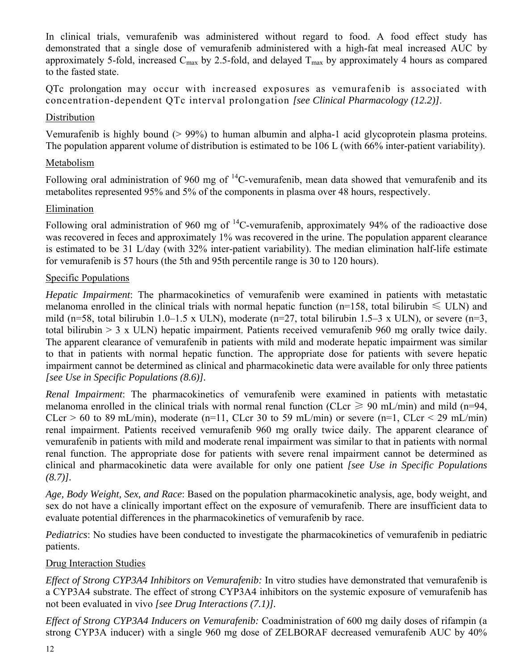In clinical trials, vemurafenib was administered without regard to food. A food effect study has demonstrated that a single dose of vemurafenib administered with a high-fat meal increased AUC by approximately 5-fold, increased  $C_{\text{max}}$  by 2.5-fold, and delayed  $T_{\text{max}}$  by approximately 4 hours as compared to the fasted state.

QTc prolongation may occur with increased exposures as vemurafenib is associated with concentration-dependent QTc interval prolongation *[see Clinical Pharmacology (12.2)]*.

### **Distribution**

Vemurafenib is highly bound (> 99%) to human albumin and alpha-1 acid glycoprotein plasma proteins. The population apparent volume of distribution is estimated to be 106 L (with 66% inter-patient variability).

### Metabolism

Following oral administration of 960 mg of  ${}^{14}$ C-vemurafenib, mean data showed that vemurafenib and its metabolites represented 95% and 5% of the components in plasma over 48 hours, respectively.

### Elimination

Following oral administration of 960 mg of <sup>14</sup>C-vemurafenib, approximately 94% of the radioactive dose was recovered in feces and approximately 1% was recovered in the urine. The population apparent clearance is estimated to be 31 L/day (with 32% inter-patient variability). The median elimination half-life estimate for vemurafenib is 57 hours (the 5th and 95th percentile range is 30 to 120 hours).

### Specific Populations

*Hepatic Impairment*: The pharmacokinetics of vemurafenib were examined in patients with metastatic melanoma enrolled in the clinical trials with normal hepatic function (n=158, total bilirubin  $\leq$  ULN) and mild (n=58, total bilirubin 1.0–1.5 x ULN), moderate (n=27, total bilirubin 1.5–3 x ULN), or severe (n=3, total bilirubin > 3 x ULN) hepatic impairment. Patients received vemurafenib 960 mg orally twice daily. The apparent clearance of vemurafenib in patients with mild and moderate hepatic impairment was similar to that in patients with normal hepatic function. The appropriate dose for patients with severe hepatic impairment cannot be determined as clinical and pharmacokinetic data were available for only three patients *[see Use in Specific Populations (8.6)].*

*Renal Impairment*: The pharmacokinetics of vemurafenib were examined in patients with metastatic melanoma enrolled in the clinical trials with normal renal function (CLcr  $\geq$  90 mL/min) and mild (n=94, CLcr > 60 to 89 mL/min), moderate (n=11, CLcr 30 to 59 mL/min) or severe (n=1, CLcr < 29 mL/min) renal impairment. Patients received vemurafenib 960 mg orally twice daily. The apparent clearance of vemurafenib in patients with mild and moderate renal impairment was similar to that in patients with normal renal function. The appropriate dose for patients with severe renal impairment cannot be determined as clinical and pharmacokinetic data were available for only one patient *[see Use in Specific Populations (8.7)].* 

*Age, Body Weight, Sex, and Race*: Based on the population pharmacokinetic analysis, age, body weight, and sex do not have a clinically important effect on the exposure of vemurafenib. There are insufficient data to evaluate potential differences in the pharmacokinetics of vemurafenib by race.

*Pediatrics*: No studies have been conducted to investigate the pharmacokinetics of vemurafenib in pediatric patients.

### Drug Interaction Studies

*Effect of Strong CYP3A4 Inhibitors on Vemurafenib:* In vitro studies have demonstrated that vemurafenib is a CYP3A4 substrate. The effect of strong CYP3A4 inhibitors on the systemic exposure of vemurafenib has not been evaluated in vivo *[see Drug Interactions (7.1)].* 

*Effect of Strong CYP3A4 Inducers on Vemurafenib:* Coadministration of 600 mg daily doses of rifampin (a strong CYP3A inducer) with a single 960 mg dose of ZELBORAF decreased vemurafenib AUC by 40%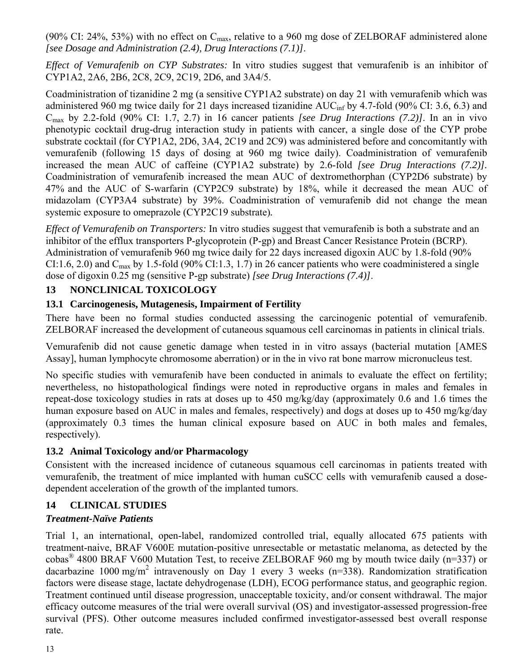(90% CI: 24%, 53%) with no effect on  $C_{\text{max}}$ , relative to a 960 mg dose of ZELBORAF administered alone *[see Dosage and Administration (2.4), Drug Interactions (7.1)]*.

*Effect of Vemurafenib on CYP Substrates:* In vitro studies suggest that vemurafenib is an inhibitor of CYP1A2, 2A6, 2B6, 2C8, 2C9, 2C19, 2D6, and 3A4/5.

Coadministration of tizanidine 2 mg (a sensitive CYP1A2 substrate) on day 21 with vemurafenib which was administered 960 mg twice daily for 21 days increased tizanidine AUC<sub>inf</sub> by 4.7-fold (90% CI: 3.6, 6.3) and Cmax by 2.2-fold (90% CI: 1.7, 2.7) in 16 cancer patients *[see Drug Interactions (7.2)]*. In an in vivo phenotypic cocktail drug-drug interaction study in patients with cancer, a single dose of the CYP probe substrate cocktail (for CYP1A2, 2D6, 3A4, 2C19 and 2C9) was administered before and concomitantly with vemurafenib (following 15 days of dosing at 960 mg twice daily). Coadministration of vemurafenib increased the mean AUC of caffeine (CYP1A2 substrate) by 2.6-fold *[see Drug Interactions (7.2)].*  Coadministration of vemurafenib increased the mean AUC of dextromethorphan (CYP2D6 substrate) by 47% and the AUC of S-warfarin (CYP2C9 substrate) by 18%, while it decreased the mean AUC of midazolam (CYP3A4 substrate) by 39%. Coadministration of vemurafenib did not change the mean systemic exposure to omeprazole (CYP2C19 substrate)*.* 

*Effect of Vemurafenib on Transporters:* In vitro studies suggest that vemurafenib is both a substrate and an inhibitor of the efflux transporters P-glycoprotein (P-gp) and Breast Cancer Resistance Protein (BCRP). Administration of vemurafenib 960 mg twice daily for 22 days increased digoxin AUC by 1.8-fold (90% CI:1.6, 2.0) and  $C_{\text{max}}$  by 1.5-fold (90% CI:1.3, 1.7) in 26 cancer patients who were coadministered a single dose of digoxin 0.25 mg (sensitive P-gp substrate) *[see Drug Interactions (7.4)]*.

### **13 NONCLINICAL TOXICOLOGY**

### **13.1 Carcinogenesis, Mutagenesis, Impairment of Fertility**

There have been no formal studies conducted assessing the carcinogenic potential of vemurafenib. ZELBORAF increased the development of cutaneous squamous cell carcinomas in patients in clinical trials.

Vemurafenib did not cause genetic damage when tested in in vitro assays (bacterial mutation [AMES Assay], human lymphocyte chromosome aberration) or in the in vivo rat bone marrow micronucleus test.

No specific studies with vemurafenib have been conducted in animals to evaluate the effect on fertility; nevertheless, no histopathological findings were noted in reproductive organs in males and females in repeat-dose toxicology studies in rats at doses up to 450 mg/kg/day (approximately 0.6 and 1.6 times the human exposure based on AUC in males and females, respectively) and dogs at doses up to 450 mg/kg/day (approximately 0.3 times the human clinical exposure based on AUC in both males and females, respectively).

### **13.2 Animal Toxicology and/or Pharmacology**

Consistent with the increased incidence of cutaneous squamous cell carcinomas in patients treated with vemurafenib, the treatment of mice implanted with human cuSCC cells with vemurafenib caused a dosedependent acceleration of the growth of the implanted tumors.

### **14 CLINICAL STUDIES**

## *Treatment-Naïve Patients*

Trial 1, an international, open-label, randomized controlled trial, equally allocated 675 patients with treatment-naive, BRAF V600E mutation-positive unresectable or metastatic melanoma, as detected by the cobas® 4800 BRAF V600 Mutation Test, to receive ZELBORAF 960 mg by mouth twice daily (n=337) or dacarbazine 1000 mg/m<sup>2</sup> intravenously on Day 1 every 3 weeks (n=338). Randomization stratification factors were disease stage, lactate dehydrogenase (LDH), ECOG performance status, and geographic region. Treatment continued until disease progression, unacceptable toxicity, and/or consent withdrawal. The major efficacy outcome measures of the trial were overall survival (OS) and investigator-assessed progression-free survival (PFS). Other outcome measures included confirmed investigator-assessed best overall response rate.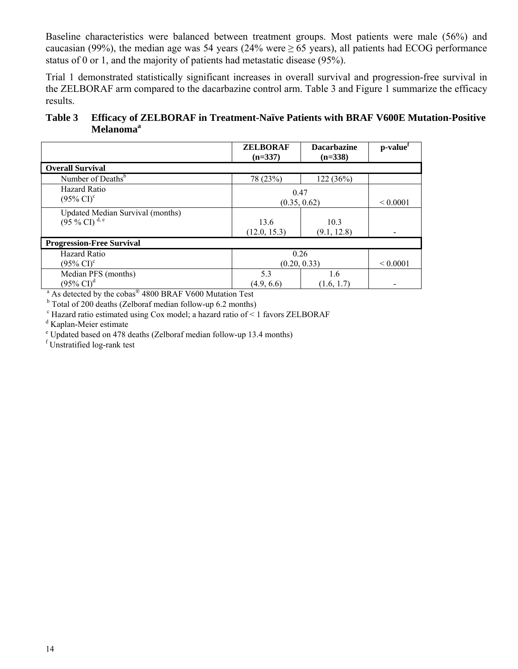Baseline characteristics were balanced between treatment groups. Most patients were male (56%) and caucasian (99%), the median age was 54 years (24% were  $\geq$  65 years), all patients had ECOG performance status of 0 or 1, and the majority of patients had metastatic disease (95%).

Trial 1 demonstrated statistically significant increases in overall survival and progression-free survival in the ZELBORAF arm compared to the dacarbazine control arm. Table 3 and Figure 1 summarize the efficacy results.

**Table 3 Efficacy of ZELBORAF in Treatment-Naïve Patients with BRAF V600E Mutation-Positive**  Melanoma<sup>a</sup>

|                                                                                 | <b>ZELBORAF</b><br>$(n=337)$ | <b>Dacarbazine</b><br>$(n=338)$ | p-value <sup>t</sup> |
|---------------------------------------------------------------------------------|------------------------------|---------------------------------|----------------------|
| <b>Overall Survival</b>                                                         |                              |                                 |                      |
| Number of Deaths <sup>b</sup>                                                   | 78 (23%)                     | 122 (36%)                       |                      |
| <b>Hazard Ratio</b><br>$(95\% \text{ CI})^c$                                    |                              | 0.47<br>(0.35, 0.62)            |                      |
| <b>Updated Median Survival (months)</b><br>$(95\% \text{ CI})$ <sup>d, e</sup>  | 13.6<br>(12.0, 15.3)         | 10.3<br>(9.1, 12.8)             |                      |
| <b>Progression-Free Survival</b>                                                |                              |                                 |                      |
| Hazard Ratio<br>$(95\% \text{ CI})^{\circ}$                                     |                              | 0.26<br>(0.20, 0.33)            |                      |
| Median PFS (months)<br>$(95\% \text{ CI})^d$                                    | 5.3<br>(4.9, 6.6)            | 1.6<br>(1.6, 1.7)               |                      |
| <sup>a</sup> As detected by the cobas <sup>®</sup> 4800 BRAF V600 Mutation Test |                              |                                 |                      |

<sup>b</sup> Total of 200 deaths (Zelboraf median follow-up 6.2 months)

<sup>c</sup> Hazard ratio estimated using Cox model; a hazard ratio of < 1 favors ZELBORAF

<sup>d</sup> Kaplan-Meier estimate

e Updated based on 478 deaths (Zelboraf median follow-up 13.4 months)

f Unstratified log-rank test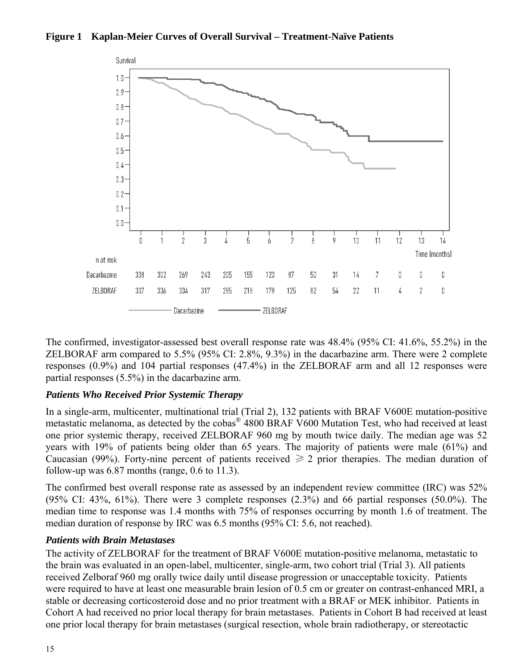#### **Figure 1 Kaplan-Meier Curves of Overall Survival – Treatment-Naïve Patients**



The confirmed, investigator-assessed best overall response rate was 48.4% (95% CI: 41.6%, 55.2%) in the ZELBORAF arm compared to 5.5% (95% CI: 2.8%, 9.3%) in the dacarbazine arm. There were 2 complete responses (0.9%) and 104 partial responses (47.4%) in the ZELBORAF arm and all 12 responses were partial responses (5.5%) in the dacarbazine arm.

### *Patients Who Received Prior Systemic Therapy*

In a single-arm, multicenter, multinational trial (Trial 2), 132 patients with BRAF V600E mutation-positive metastatic melanoma, as detected by the cobas® 4800 BRAF V600 Mutation Test, who had received at least one prior systemic therapy, received ZELBORAF 960 mg by mouth twice daily. The median age was 52 years with 19% of patients being older than 65 years. The majority of patients were male (61%) and Caucasian (99%). Forty-nine percent of patients received  $\geq 2$  prior therapies. The median duration of follow-up was  $6.87$  months (range,  $0.6$  to  $11.3$ ).

The confirmed best overall response rate as assessed by an independent review committee (IRC) was 52% (95% CI: 43%, 61%). There were 3 complete responses (2.3%) and 66 partial responses (50.0%). The median time to response was 1.4 months with 75% of responses occurring by month 1.6 of treatment. The median duration of response by IRC was 6.5 months (95% CI: 5.6, not reached).

### *Patients with Brain Metastases*

The activity of ZELBORAF for the treatment of BRAF V600E mutation-positive melanoma, metastatic to the brain was evaluated in an open-label, multicenter, single-arm, two cohort trial (Trial 3). All patients received Zelboraf 960 mg orally twice daily until disease progression or unacceptable toxicity. Patients were required to have at least one measurable brain lesion of 0.5 cm or greater on contrast-enhanced MRI, a stable or decreasing corticosteroid dose and no prior treatment with a BRAF or MEK inhibitor. Patients in Cohort A had received no prior local therapy for brain metastases. Patients in Cohort B had received at least one prior local therapy for brain metastases (surgical resection, whole brain radiotherapy, or stereotactic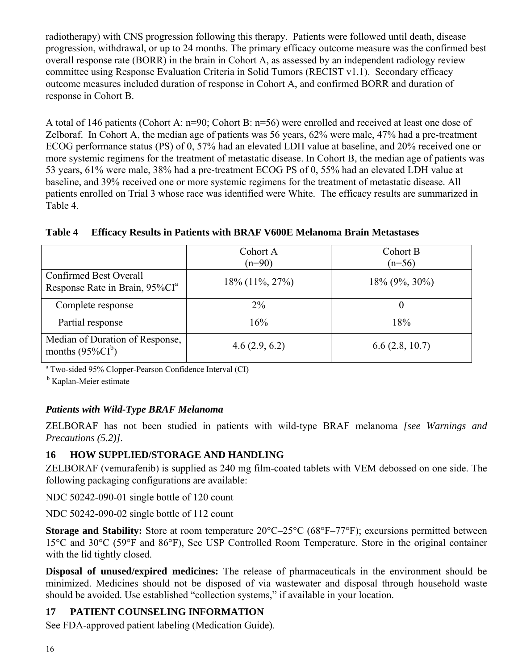radiotherapy) with CNS progression following this therapy. Patients were followed until death, disease progression, withdrawal, or up to 24 months. The primary efficacy outcome measure was the confirmed best overall response rate (BORR) in the brain in Cohort A, as assessed by an independent radiology review committee using Response Evaluation Criteria in Solid Tumors (RECIST v1.1). Secondary efficacy outcome measures included duration of response in Cohort A, and confirmed BORR and duration of response in Cohort B.

A total of 146 patients (Cohort A: n=90; Cohort B: n=56) were enrolled and received at least one dose of Zelboraf. In Cohort A, the median age of patients was 56 years, 62% were male, 47% had a pre-treatment ECOG performance status (PS) of 0, 57% had an elevated LDH value at baseline, and 20% received one or more systemic regimens for the treatment of metastatic disease. In Cohort B, the median age of patients was 53 years, 61% were male, 38% had a pre-treatment ECOG PS of 0, 55% had an elevated LDH value at baseline, and 39% received one or more systemic regimens for the treatment of metastatic disease. All patients enrolled on Trial 3 whose race was identified were White. The efficacy results are summarized in Table 4.

**Table 4 Efficacy Results in Patients with BRAF V600E Melanoma Brain Metastases** 

|                                                                      | Cohort A<br>$(n=90)$ | Cohort B<br>$(n=56)$ |
|----------------------------------------------------------------------|----------------------|----------------------|
| Confirmed Best Overall<br>Response Rate in Brain, 95%CI <sup>a</sup> | $18\%$ (11%, 27%)    | $18\%$ (9%, 30%)     |
| Complete response                                                    | $2\%$                | U                    |
| Partial response                                                     | 16%                  | 18%                  |
| Median of Duration of Response,<br>months $(95\%CI^b)$               | 4.6(2.9, 6.2)        | 6.6(2.8, 10.7)       |

<sup>a</sup> Two-sided 95% Clopper-Pearson Confidence Interval (CI)

<sup>b</sup> Kaplan-Meier estimate

### *Patients with Wild-Type BRAF Melanoma*

ZELBORAF has not been studied in patients with wild-type BRAF melanoma *[see Warnings and Precautions (5.2)].* 

## **16 HOW SUPPLIED/STORAGE AND HANDLING**

ZELBORAF (vemurafenib) is supplied as 240 mg film-coated tablets with VEM debossed on one side. The following packaging configurations are available:

NDC 50242-090-01 single bottle of 120 count

NDC 50242-090-02 single bottle of 112 count

**Storage and Stability:** Store at room temperature 20°C–25°C (68°F–77°F); excursions permitted between 15°C and 30°C (59°F and 86°F), See USP Controlled Room Temperature. Store in the original container with the lid tightly closed.

**Disposal of unused/expired medicines:** The release of pharmaceuticals in the environment should be minimized. Medicines should not be disposed of via wastewater and disposal through household waste should be avoided. Use established "collection systems," if available in your location.

## **17 PATIENT COUNSELING INFORMATION**

See FDA-approved patient labeling (Medication Guide).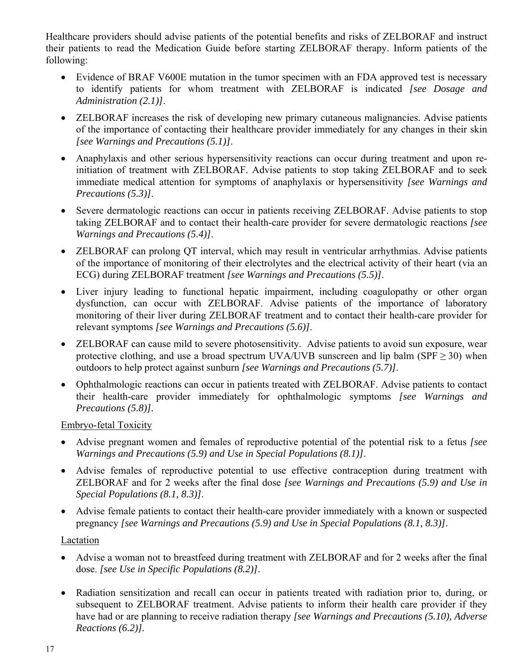Healthcare providers should advise patients of the potential benefits and risks of ZELBORAF and instruct their patients to read the Medication Guide before starting ZELBORAF therapy. Inform patients of the following:

- Evidence of BRAF V600E mutation in the tumor specimen with an FDA approved test is necessary to identify patients for whom treatment with ZELBORAF is indicated *[see Dosage and Administration (2.1)]*.
- ZELBORAF increases the risk of developing new primary cutaneous malignancies. Advise patients of the importance of contacting their healthcare provider immediately for any changes in their skin *[see Warnings and Precautions (5.1)]*.
- Anaphylaxis and other serious hypersensitivity reactions can occur during treatment and upon reinitiation of treatment with ZELBORAF. Advise patients to stop taking ZELBORAF and to seek immediate medical attention for symptoms of anaphylaxis or hypersensitivity *[see Warnings and Precautions (5.3)]*.
- Severe dermatologic reactions can occur in patients receiving ZELBORAF. Advise patients to stop taking ZELBORAF and to contact their health-care provider for severe dermatologic reactions *[see Warnings and Precautions (5.4)]*.
- ZELBORAF can prolong QT interval, which may result in ventricular arrhythmias. Advise patients of the importance of monitoring of their electrolytes and the electrical activity of their heart (via an ECG) during ZELBORAF treatment *[see Warnings and Precautions (5.5)]*.
- Liver injury leading to functional hepatic impairment, including coagulopathy or other organ dysfunction, can occur with ZELBORAF. Advise patients of the importance of laboratory monitoring of their liver during ZELBORAF treatment and to contact their health-care provider for relevant symptoms *[see Warnings and Precautions (5.6)]*.
- ZELBORAF can cause mild to severe photosensitivity. Advise patients to avoid sun exposure, wear protective clothing, and use a broad spectrum UVA/UVB sunscreen and lip balm (SPF  $\geq$  30) when outdoors to help protect against sunburn *[see Warnings and Precautions (5.7)]*.
- Ophthalmologic reactions can occur in patients treated with ZELBORAF. Advise patients to contact their health-care provider immediately for ophthalmologic symptoms *[see Warnings and Precautions (5.8)]*.

Embryo-fetal Toxicity

- Advise pregnant women and females of reproductive potential of the potential risk to a fetus *[see Warnings and Precautions (5.9) and Use in Special Populations (8.1)]*.
- Advise females of reproductive potential to use effective contraception during treatment with ZELBORAF and for 2 weeks after the final dose *[see Warnings and Precautions (5.9) and Use in Special Populations (8.1, 8.3)]*.
- Advise female patients to contact their health-care provider immediately with a known or suspected pregnancy *[see Warnings and Precautions (5.9) and Use in Special Populations (8.1, 8.3)]*.

### Lactation

- Advise a woman not to breastfeed during treatment with ZELBORAF and for 2 weeks after the final dose. *[see Use in Specific Populations (8.2)]*.
- Radiation sensitization and recall can occur in patients treated with radiation prior to, during, or subsequent to ZELBORAF treatment. Advise patients to inform their health care provider if they have had or are planning to receive radiation therapy *[see Warnings and Precautions (5.10), Adverse Reactions (6.2)].*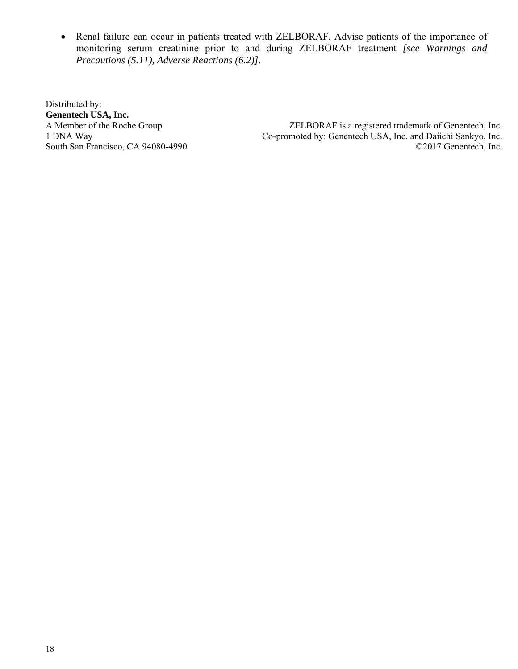Renal failure can occur in patients treated with ZELBORAF. Advise patients of the importance of monitoring serum creatinine prior to and during ZELBORAF treatment *[see Warnings and Precautions (5.11), Adverse Reactions (6.2)].*

Distributed by: **Genentech USA, Inc.** South San Francisco, CA  $94080-4990$ 

ZELBORAF is a registered trademark of Genentech, Inc. 1 DNA Way Co-promoted by: Genentech USA, Inc. and Daiichi Sankyo, Inc.<br>South San Francisco, CA 94080-4990 Co-promoted by: Genentech USA, Inc. and Daiichi Sankyo, Inc.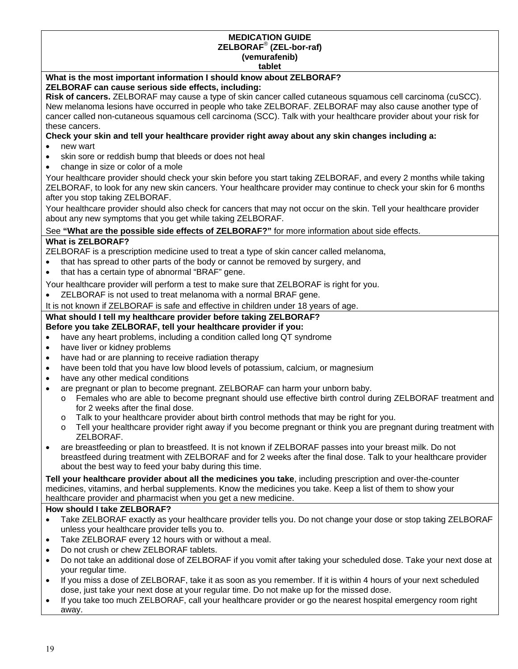### **MEDICATION GUIDE ZELBORAF**®  **(ZEL-bor-raf) (vemurafenib)**

#### **tablet**

#### **What is the most important information I should know about ZELBORAF? ZELBORAF can cause serious side effects, including:**

**Risk of cancers.** ZELBORAF may cause a type of skin cancer called cutaneous squamous cell carcinoma (cuSCC). New melanoma lesions have occurred in people who take ZELBORAF. ZELBORAF may also cause another type of cancer called non-cutaneous squamous cell carcinoma (SCC). Talk with your healthcare provider about your risk for these cancers.

#### **Check your skin and tell your healthcare provider right away about any skin changes including a:**

- new wart
- skin sore or reddish bump that bleeds or does not heal
- change in size or color of a mole

Your healthcare provider should check your skin before you start taking ZELBORAF, and every 2 months while taking ZELBORAF, to look for any new skin cancers. Your healthcare provider may continue to check your skin for 6 months after you stop taking ZELBORAF.

Your healthcare provider should also check for cancers that may not occur on the skin. Tell your healthcare provider about any new symptoms that you get while taking ZELBORAF.

#### See **"What are the possible side effects of ZELBORAF?"** for more information about side effects.

#### **What is ZELBORAF?**

ZELBORAF is a prescription medicine used to treat a type of skin cancer called melanoma,

- that has spread to other parts of the body or cannot be removed by surgery, and
- that has a certain type of abnormal "BRAF" gene.

Your healthcare provider will perform a test to make sure that ZELBORAF is right for you.

- ZELBORAF is not used to treat melanoma with a normal BRAF gene.
- It is not known if ZELBORAF is safe and effective in children under 18 years of age.

# **What should I tell my healthcare provider before taking ZELBORAF?**

# **Before you take ZELBORAF, tell your healthcare provider if you:**

- have any heart problems, including a condition called long QT syndrome
- have liver or kidney problems
- have had or are planning to receive radiation therapy
- have been told that you have low blood levels of potassium, calcium, or magnesium
- have any other medical conditions
- are pregnant or plan to become pregnant. ZELBORAF can harm your unborn baby.
	- o Females who are able to become pregnant should use effective birth control during ZELBORAF treatment and for 2 weeks after the final dose.
	- o Talk to your healthcare provider about birth control methods that may be right for you.
	- o Tell your healthcare provider right away if you become pregnant or think you are pregnant during treatment with ZELBORAF.
- are breastfeeding or plan to breastfeed. It is not known if ZELBORAF passes into your breast milk. Do not breastfeed during treatment with ZELBORAF and for 2 weeks after the final dose. Talk to your healthcare provider about the best way to feed your baby during this time.

**Tell your healthcare provider about all the medicines you take**, including prescription and over-the-counter medicines, vitamins, and herbal supplements. Know the medicines you take. Keep a list of them to show your healthcare provider and pharmacist when you get a new medicine.

#### **How should I take ZELBORAF?**

- Take ZELBORAF exactly as your healthcare provider tells you. Do not change your dose or stop taking ZELBORAF unless your healthcare provider tells you to.
- Take ZELBORAF every 12 hours with or without a meal.
- Do not crush or chew ZELBORAF tablets.
- Do not take an additional dose of ZELBORAF if you vomit after taking your scheduled dose. Take your next dose at your regular time.
- If you miss a dose of ZELBORAF, take it as soon as you remember. If it is within 4 hours of your next scheduled dose, just take your next dose at your regular time. Do not make up for the missed dose.
- If you take too much ZELBORAF, call your healthcare provider or go the nearest hospital emergency room right away.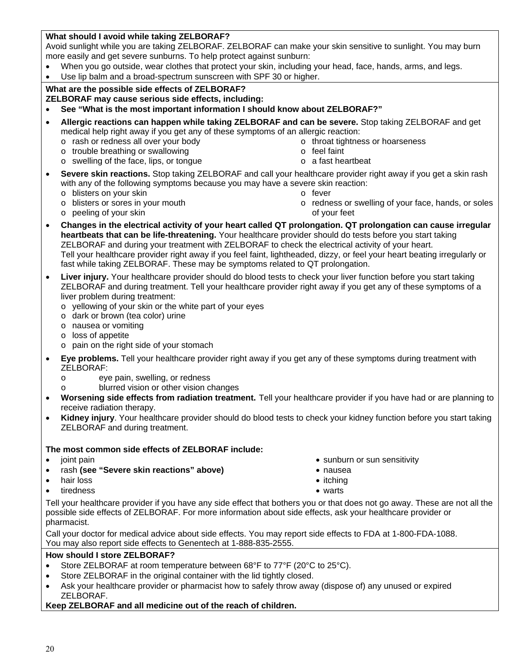### **What should I avoid while taking ZELBORAF?**

Avoid sunlight while you are taking ZELBORAF. ZELBORAF can make your skin sensitive to sunlight. You may burn more easily and get severe sunburns. To help protect against sunburn:

- When you go outside, wear clothes that protect your skin, including your head, face, hands, arms, and legs.
- Use lip balm and a broad-spectrum sunscreen with SPF 30 or higher.

# **What are the possible side effects of ZELBORAF?**

**ZELBORAF may cause serious side effects, including:** 

- **See "What is the most important information I should know about ZELBORAF?"**
- **Allergic reactions can happen while taking ZELBORAF and can be severe.** Stop taking ZELBORAF and get medical help right away if you get any of these symptoms of an allergic reaction:
	- o rash or redness all over your body
	- o trouble breathing or swallowing
	- o swelling of the face, lips, or tongue **o a fast heartbeat**
- o throat tightness or hoarseness
- o feel faint
- **Severe skin reactions.** Stop taking ZELBORAF and call your healthcare provider right away if you get a skin rash with any of the following symptoms because you may have a severe skin reaction: o blisters on your skin
	- o fever

o blisters or sores in your mouth

- o peeling of your skin
- **Changes in the electrical activity of your heart called QT prolongation. QT prolongation can cause irregular heartbeats that can be life-threatening.** Your healthcare provider should do tests before you start taking ZELBORAF and during your treatment with ZELBORAF to check the electrical activity of your heart. Tell your healthcare provider right away if you feel faint, lightheaded, dizzy, or feel your heart beating irregularly or
- fast while taking ZELBORAF. These may be symptoms related to QT prolongation.
- Liver injury. Your healthcare provider should do blood tests to check your liver function before you start taking ZELBORAF and during treatment. Tell your healthcare provider right away if you get any of these symptoms of a liver problem during treatment:
	- o yellowing of your skin or the white part of your eyes
	- o dark or brown (tea color) urine
	- o nausea or vomiting
	- o loss of appetite
	- o pain on the right side of your stomach
- **Eye problems.** Tell your healthcare provider right away if you get any of these symptoms during treatment with ZELBORAF:
	- o eye pain, swelling, or redness
		- blurred vision or other vision changes
- **Worsening side effects from radiation treatment.** Tell your healthcare provider if you have had or are planning to receive radiation therapy.
- **Kidney injury**. Your healthcare provider should do blood tests to check your kidney function before you start taking ZELBORAF and during treatment.

#### **The most common side effects of ZELBORAF include:**

- 
- rash (see "Severe skin reactions" above) **above** nausea
- hair loss **itching**
- tiredness warts
- joint pain sunburn or sunburn or sun sensitivity of the sunburn or sun sensitivity
	-
	-
	-

Tell your healthcare provider if you have any side effect that bothers you or that does not go away. These are not all the possible side effects of ZELBORAF. For more information about side effects, ask your healthcare provider or pharmacist.

Call your doctor for medical advice about side effects. You may report side effects to FDA at 1-800-FDA-1088. You may also report side effects to Genentech at 1-888-835-2555.

#### **How should I store ZELBORAF?**

- Store ZELBORAF at room temperature between 68°F to 77°F (20°C to 25°C).
- Store ZELBORAF in the original container with the lid tightly closed.
- Ask your healthcare provider or pharmacist how to safely throw away (dispose of) any unused or expired ZELBORAF.

#### **Keep ZELBORAF and all medicine out of the reach of children.**

- o redness or swelling of your face, hands, or soles of your feet
-